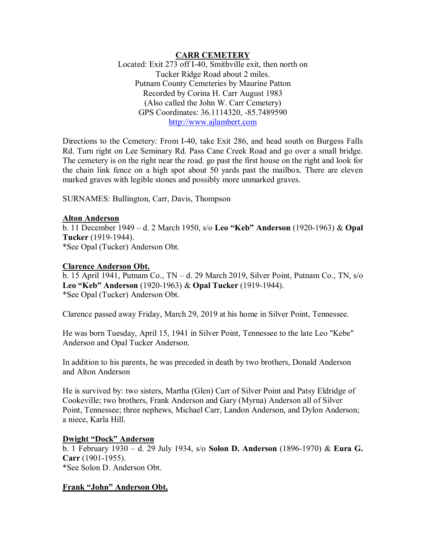#### **CARR CEMETERY**

Located: Exit 273 off I-40, Smithville exit, then north on Tucker Ridge Road about 2 miles. Putnam County Cemeteries by Maurine Patton Recorded by Corina H. Carr August 1983 (Also called the John W. Carr Cemetery) GPS Coordinates: 36.1114320, -85.7489590 [http://www.ajlambert.com](http://www.ajlambert.com/)

Directions to the Cemetery: From I-40, take Exit 286, and head south on Burgess Falls Rd. Turn right on Lee Seminary Rd. Pass Cane Creek Road and go over a small bridge. The cemetery is on the right near the road. go past the first house on the right and look for the chain link fence on a high spot about 50 yards past the mailbox. There are eleven marked graves with legible stones and possibly more unmarked graves.

SURNAMES: Bullington, Carr, Davis, Thompson

## **Alton Anderson**

b. 11 December 1949 – d. 2 March 1950, s/o **Leo "Keb" Anderson** (1920-1963) & **Opal Tucker** (1919-1944). \*See Opal (Tucker) Anderson Obt.

#### **Clarence Anderson Obt.**

b. 15 April 1941, Putnam Co., TN – d. 29 March 2019, Silver Point, Putnam Co., TN, s/o **Leo "Keb" Anderson** (1920-1963) & **Opal Tucker** (1919-1944). \*See Opal (Tucker) Anderson Obt.

Clarence passed away Friday, March 29, 2019 at his home in Silver Point, Tennessee.

He was born Tuesday, April 15, 1941 in Silver Point, Tennessee to the late Leo "Kebe" Anderson and Opal Tucker Anderson.

In addition to his parents, he was preceded in death by two brothers, Donald Anderson and Alton Anderson

He is survived by: two sisters, Martha (Glen) Carr of Silver Point and Patsy Eldridge of Cookeville; two brothers, Frank Anderson and Gary (Myrna) Anderson all of Silver Point, Tennessee; three nephews, Michael Carr, Landon Anderson, and Dylon Anderson; a niece, Karla Hill.

#### **Dwight "Dock" Anderson**

b. 1 February 1930 – d. 29 July 1934, s/o **Solon D. Anderson** (1896-1970) & **Eura G. Carr** (1901-1955). \*See Solon D. Anderson Obt.

## **Frank "John" Anderson Obt.**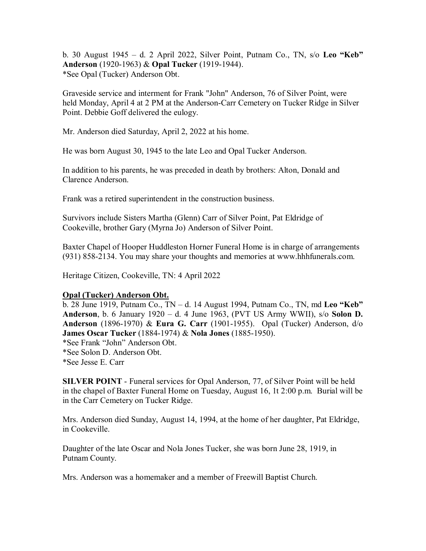b. 30 August 1945 – d. 2 April 2022, Silver Point, Putnam Co., TN, s/o **Leo "Keb" Anderson** (1920-1963) & **Opal Tucker** (1919-1944). \*See Opal (Tucker) Anderson Obt.

Graveside service and interment for Frank "John" Anderson, 76 of Silver Point, were held Monday, April 4 at 2 PM at the Anderson-Carr Cemetery on Tucker Ridge in Silver Point. Debbie Goff delivered the eulogy.

Mr. Anderson died Saturday, April 2, 2022 at his home.

He was born August 30, 1945 to the late Leo and Opal Tucker Anderson.

In addition to his parents, he was preceded in death by brothers: Alton, Donald and Clarence Anderson.

Frank was a retired superintendent in the construction business.

Survivors include Sisters Martha (Glenn) Carr of Silver Point, Pat Eldridge of Cookeville, brother Gary (Myrna Jo) Anderson of Silver Point.

Baxter Chapel of Hooper Huddleston Horner Funeral Home is in charge of arrangements (931) 858-2134. You may share your thoughts and memories at [www.hhhfunerals.com.](http://www.hhhfunerals.com./)

Heritage Citizen, Cookeville, TN: 4 April 2022

# **Opal (Tucker) Anderson Obt.**

b. 28 June 1919, Putnam Co., TN – d. 14 August 1994, Putnam Co., TN, md **Leo "Keb" Anderson**, b. 6 January 1920 – d. 4 June 1963, (PVT US Army WWII), s/o **Solon D. Anderson** (1896-1970) & **Eura G. Carr** (1901-1955). Opal (Tucker) Anderson, d/o **James Oscar Tucker** (1884-1974) & **Nola Jones** (1885-1950). \*See Frank "John" Anderson Obt. \*See Solon D. Anderson Obt. \*See Jesse E. Carr

**SILVER POINT** - Funeral services for Opal Anderson, 77, of Silver Point will be held in the chapel of Baxter Funeral Home on Tuesday, August 16, 1t 2:00 p.m. Burial will be in the Carr Cemetery on Tucker Ridge.

Mrs. Anderson died Sunday, August 14, 1994, at the home of her daughter, Pat Eldridge, in Cookeville.

Daughter of the late Oscar and Nola Jones Tucker, she was born June 28, 1919, in Putnam County.

Mrs. Anderson was a homemaker and a member of Freewill Baptist Church.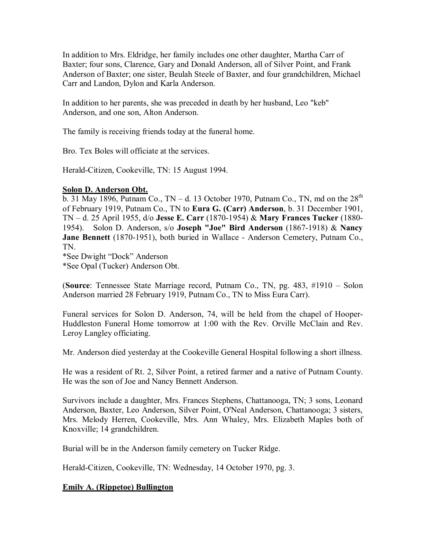In addition to Mrs. Eldridge, her family includes one other daughter, Martha Carr of Baxter; four sons, Clarence, Gary and Donald Anderson, all of Silver Point, and Frank Anderson of Baxter; one sister, Beulah Steele of Baxter, and four grandchildren, Michael Carr and Landon, Dylon and Karla Anderson.

In addition to her parents, she was preceded in death by her husband, Leo "keb" Anderson, and one son, Alton Anderson.

The family is receiving friends today at the funeral home.

Bro. Tex Boles will officiate at the services.

Herald-Citizen, Cookeville, TN: 15 August 1994.

## **Solon D. Anderson Obt.**

b. 31 May 1896, Putnam Co.,  $TN - d$ . 13 October 1970, Putnam Co., TN, md on the  $28<sup>th</sup>$ of February 1919, Putnam Co., TN to **Eura G. (Carr) Anderson**, b. 31 December 1901, TN – d. 25 April 1955, d/o **Jesse E. Carr** (1870-1954) & **Mary Frances Tucker** (1880- 1954). Solon D. Anderson, s/o **Joseph "Joe" Bird Anderson** (1867-1918) & **Nancy Jane Bennett** (1870-1951), both buried in Wallace - Anderson Cemetery, Putnam Co., TN.

\*See Dwight "Dock" Anderson

\*See Opal (Tucker) Anderson Obt.

(**Source**: Tennessee State Marriage record, Putnam Co., TN, pg. 483, #1910 – Solon Anderson married 28 February 1919, Putnam Co., TN to Miss Eura Carr).

Funeral services for Solon D. Anderson, 74, will be held from the chapel of Hooper-Huddleston Funeral Home tomorrow at 1:00 with the Rev. Orville McClain and Rev. Leroy Langley officiating.

Mr. Anderson died yesterday at the Cookeville General Hospital following a short illness.

He was a resident of Rt. 2, Silver Point, a retired farmer and a native of Putnam County. He was the son of Joe and Nancy Bennett Anderson.

Survivors include a daughter, Mrs. Frances Stephens, Chattanooga, TN; 3 sons, Leonard Anderson, Baxter, Leo Anderson, Silver Point, O'Neal Anderson, Chattanooga; 3 sisters, Mrs. Melody Herren, Cookeville, Mrs. Ann Whaley, Mrs. Elizabeth Maples both of Knoxville; 14 grandchildren.

Burial will be in the Anderson family cemetery on Tucker Ridge.

Herald-Citizen, Cookeville, TN: Wednesday, 14 October 1970, pg. 3.

# **Emily A. (Rippetoe) Bullington**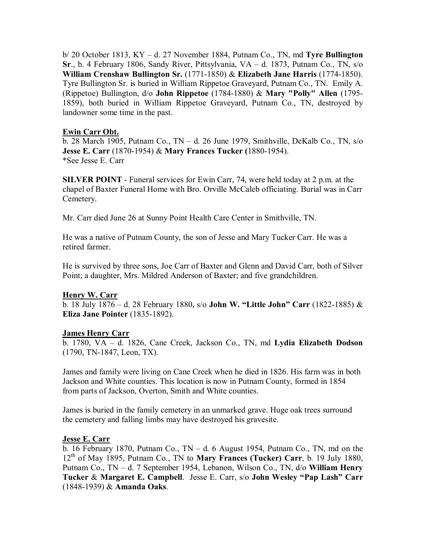b/ 20 October 1813, KY – d. 27 November 1884, Putnam Co., TN, md **Tyre Bullington Sr**., b. 4 February 1806, Sandy River, Pittsylvania, VA – d. 1873, Putnam Co., TN, s/o **William Crenshaw Bullington Sr.** (1771-1850) & **Elizabeth Jane Harris** (1774-1850). Tyre Bullington Sr. is buried in William Rippetoe Graveyard, Putnam Co., TN. Emily A. (Rippetoe) Bullington, d/o **John Rippetoe** (1784-1880) & **Mary "Polly" Allen** (1795- 1859), both buried in William Rippetoe Graveyard, Putnam Co., TN, destroyed by landowner some time in the past.

## **Ewin Carr Obt.**

b. 28 March 1905, Putnam Co., TN – d. 26 June 1979, Smithville, DeKalb Co., TN, s/o **Jesse E. Carr** (1870-1954) & **Mary Frances Tucker (**1880-1954). \*See Jesse E. Carr

**SILVER POINT** - Funeral services for Ewin Carr, 74, were held today at 2 p.m. at the chapel of Baxter Funeral Home with Bro. Orville McCaleb officiating. Burial was in Carr Cemetery.

Mr. Carr died June 26 at Sunny Point Health Care Center in Smithville, TN.

He was a native of Putnam County, the son of Jesse and Mary Tucker Carr. He was a retired farmer.

He is survived by three sons, Joe Carr of Baxter and Glenn and David Carr, both of Silver Point; a daughter, Mrs. Mildred Anderson of Baxter; and five grandchildren.

## **Henry W. Carr**

b. 18 July 1876 – d. 28 February 1880, s/o **John W. "Little John" Carr** (1822-1885) & **Eliza Jane Pointer** (1835-1892).

## **James Henry Carr**

b. 1780, VA – d. 1826, Cane Creek, Jackson Co., TN, md **Lydia Elizabeth Dodson** (1790, TN-1847, Leon, TX).

James and family were living on Cane Creek when he died in 1826. His farm was in both Jackson and White counties. This location is now in Putnam County, formed in 1854 from parts of Jackson, Overton, Smith and White counties.

James is buried in the family cemetery in an unmarked grave. Huge oak trees surround the cemetery and falling limbs may have destroyed his gravesite.

## **Jesse E. Carr**

b. 16 February 1870, Putnam Co.,  $TN - d$ . 6 August 1954, Putnam Co., TN, md on the 12th of May 1895, Putnam Co., TN to **Mary Frances (Tucker) Carr**, b. 19 July 1880, Putnam Co., TN – d. 7 September 1954, Lebanon, Wilson Co., TN, d/o **William Henry Tucker** & **Margaret E. Campbell**. Jesse E. Carr, s/o **John Wesley "Pap Lash" Carr** (1848-1939) & **Amanda Oaks**.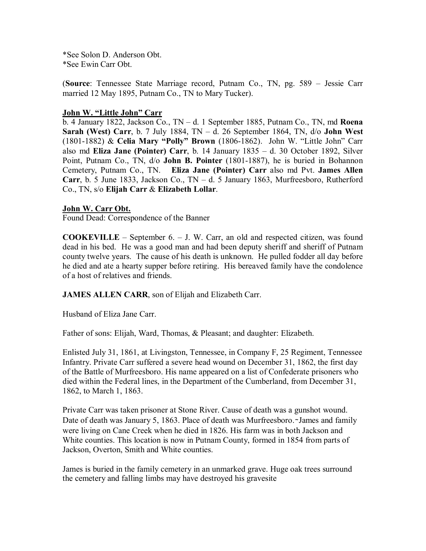\*See Solon D. Anderson Obt. \*See Ewin Carr Obt.

(**Source**: Tennessee State Marriage record, Putnam Co., TN, pg. 589 – Jessie Carr married 12 May 1895, Putnam Co., TN to Mary Tucker).

## **John W. "Little John" Carr**

b. 4 January 1822, Jackson Co., TN – d. 1 September 1885, Putnam Co., TN, md **Roena Sarah (West) Carr**, b. 7 July 1884, TN – d. 26 September 1864, TN, d/o **John West** (1801-1882) & **Celia Mary "Polly" Brown** (1806-1862). John W. "Little John" Carr also md **Eliza Jane (Pointer) Carr**, b. 14 January 1835 – d. 30 October 1892, Silver Point, Putnam Co., TN, d/o **John B. Pointer** (1801-1887), he is buried in Bohannon Cemetery, Putnam Co., TN. **Eliza Jane (Pointer) Carr** also md Pvt. **James Allen Carr**, b. 5 June 1833, Jackson Co., TN – d. 5 January 1863, Murfreesboro, Rutherford Co., TN, s/o **Elijah Carr** & **Elizabeth Lollar**.

## **John W. Carr Obt.**

Found Dead: Correspondence of the Banner

**COOKEVILLE** – September 6. – J. W. Carr, an old and respected citizen, was found dead in his bed. He was a good man and had been deputy sheriff and sheriff of Putnam county twelve years. The cause of his death is unknown. He pulled fodder all day before he died and ate a hearty supper before retiring. His bereaved family have the condolence of a host of relatives and friends.

**JAMES ALLEN CARR**, son of Elijah and Elizabeth Carr.

Husband of Eliza Jane Carr.

Father of sons: Elijah, Ward, Thomas, & Pleasant; and daughter: Elizabeth.

Enlisted July 31, 1861, at Livingston, Tennessee, in Company F, 25 Regiment, Tennessee Infantry. Private Carr suffered a severe head wound on December 31, 1862, the first day of the Battle of Murfreesboro. His name appeared on a list of Confederate prisoners who died within the Federal lines, in the Department of the Cumberland, from December 31, 1862, to March 1, 1863.

Private Carr was taken prisoner at Stone River. Cause of death was a gunshot wound. Date of death was January 5, 1863. Place of death was Murfreesboro.∼James and family were living on Cane Creek when he died in 1826. His farm was in both Jackson and White counties. This location is now in Putnam County, formed in 1854 from parts of Jackson, Overton, Smith and White counties.

James is buried in the family cemetery in an unmarked grave. Huge oak trees surround the cemetery and falling limbs may have destroyed his gravesite